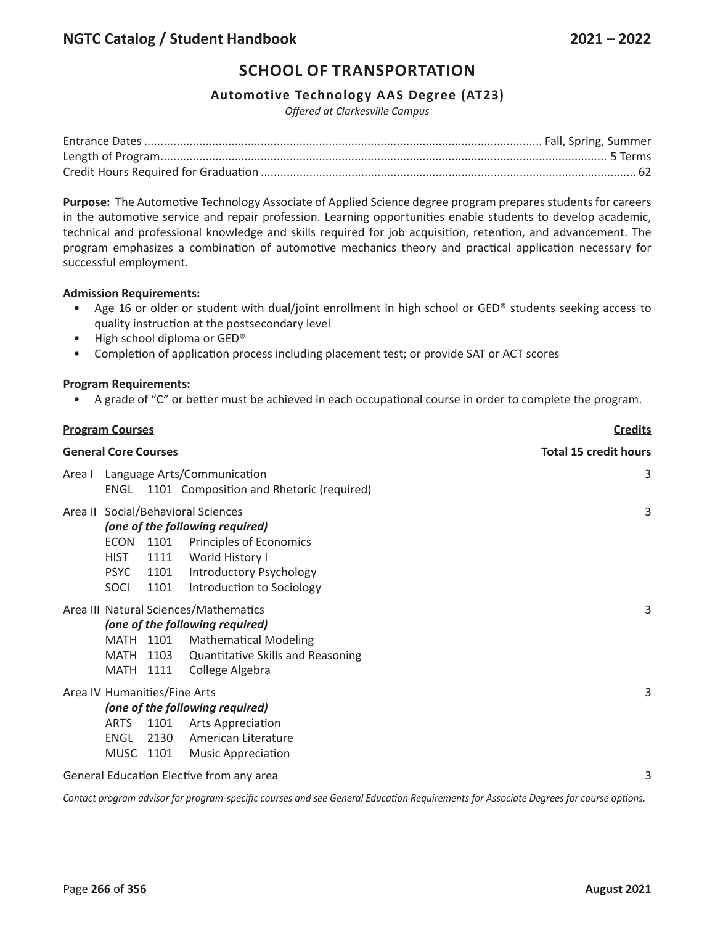#### **Automotive Technology AAS Degree (AT23)**

*Offered at Clarkesville Campus*

**Purpose:** The Automotive Technology Associate of Applied Science degree program prepares students for careers in the automotive service and repair profession. Learning opportunities enable students to develop academic, technical and professional knowledge and skills required for job acquisition, retention, and advancement. The program emphasizes a combination of automotive mechanics theory and practical application necessary for successful employment.

#### **Admission Requirements:**

- Age 16 or older or student with dual/joint enrollment in high school or GED® students seeking access to quality instruction at the postsecondary level
- High school diploma or GED®
- Completion of application process including placement test; or provide SAT or ACT scores

#### **Program Requirements:**

• A grade of "C" or better must be achieved in each occupational course in order to complete the program.

| <b>Program Courses</b>      |                                                                  |                              |                                                                                                                                                                             | <b>Credits</b> |
|-----------------------------|------------------------------------------------------------------|------------------------------|-----------------------------------------------------------------------------------------------------------------------------------------------------------------------------|----------------|
| <b>General Core Courses</b> |                                                                  |                              | <b>Total 15 credit hours</b>                                                                                                                                                |                |
| Area I                      |                                                                  |                              | Language Arts/Communication<br>ENGL 1101 Composition and Rhetoric (required)                                                                                                | 3              |
|                             | <b>ECON</b><br><b>HIST</b><br><b>PSYC</b><br>SOCI                | 1101<br>1111<br>1101<br>1101 | Area II Social/Behavioral Sciences<br>(one of the following required)<br>Principles of Economics<br>World History I<br>Introductory Psychology<br>Introduction to Sociology | 3              |
|                             | MATH 1101<br><b>MATH</b><br>MATH                                 | 1103<br>1111                 | Area III Natural Sciences/Mathematics<br>(one of the following required)<br><b>Mathematical Modeling</b><br><b>Quantitative Skills and Reasoning</b><br>College Algebra     | 3              |
|                             | Area IV Humanities/Fine Arts<br><b>ARTS</b><br>ENGL<br>MUSC 1101 | 1101<br>2130                 | (one of the following required)<br><b>Arts Appreciation</b><br>American Literature<br><b>Music Appreciation</b>                                                             | 3              |
|                             |                                                                  |                              | General Education Elective from any area                                                                                                                                    | 3              |

Contact program advisor for program-specific courses and see General Education Requirements for Associate Degrees for course options.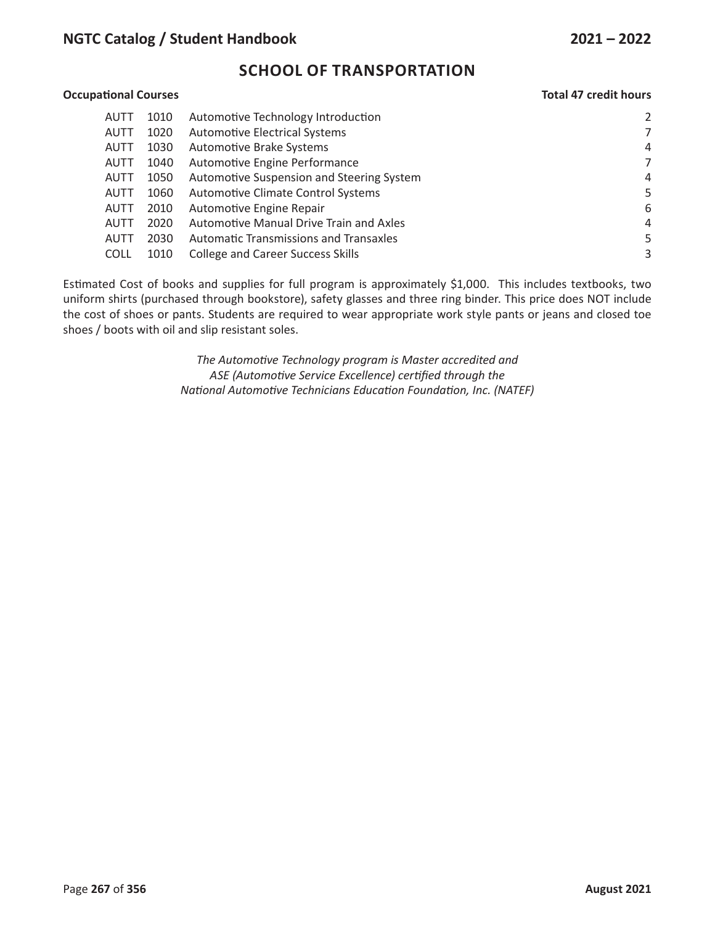# **NGTC Catalog / Student Handbook 2021 – 2022**

# **SCHOOL OF TRANSPORTATION**

#### **Occupational Courses Total 47 credit hours**

| AUTT | 1010 | Automotive Technology Introduction            | 2              |
|------|------|-----------------------------------------------|----------------|
| AUTT | 1020 | <b>Automotive Electrical Systems</b>          | 7              |
| AUTT | 1030 | Automotive Brake Systems                      | 4              |
| AUTT | 1040 | Automotive Engine Performance                 | 7              |
| AUTT | 1050 | Automotive Suspension and Steering System     | 4              |
| AUTT | 1060 | Automotive Climate Control Systems            | 5              |
| AUTT | 2010 | Automotive Engine Repair                      | 6              |
| AUTT | 2020 | Automotive Manual Drive Train and Axles       | $\overline{4}$ |
| AUTT | 2030 | <b>Automatic Transmissions and Transaxles</b> | 5              |
| COLL | 1010 | <b>College and Career Success Skills</b>      | 3              |

Estimated Cost of books and supplies for full program is approximately \$1,000. This includes textbooks, two uniform shirts (purchased through bookstore), safety glasses and three ring binder. This price does NOT include the cost of shoes or pants. Students are required to wear appropriate work style pants or jeans and closed toe shoes / boots with oil and slip resistant soles.

> *The Automotive Technology program is Master accredited and ASE (Automotive Service Excellence) certified through the National Automotive Technicians Education Foundation, Inc. (NATEF)*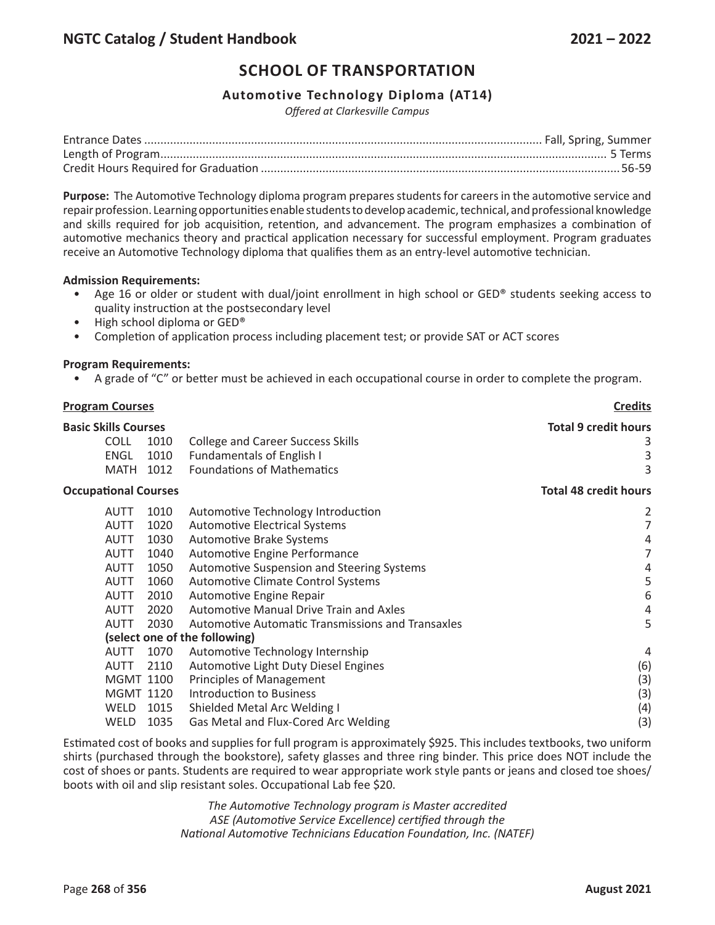#### **Automotive Technology Diploma (AT14)**

*Offered at Clarkesville Campus*

**Purpose:** The Automotive Technology diploma program prepares students for careers in the automotive service and repair profession. Learning opportunities enable students to develop academic, technical, and professional knowledge and skills required for job acquisition, retention, and advancement. The program emphasizes a combination of automotive mechanics theory and practical application necessary for successful employment. Program graduates receive an Automotive Technology diploma that qualifies them as an entry-level automotive technician.

#### **Admission Requirements:**

- Age 16 or older or student with dual/joint enrollment in high school or GED® students seeking access to quality instruction at the postsecondary level
- High school diploma or GED®
- Completion of application process including placement test; or provide SAT or ACT scores

#### **Program Requirements:**

• A grade of "C" or better must be achieved in each occupational course in order to complete the program.

| <b>Program Courses</b>      |                  |                                                          | <b>Credits</b>               |
|-----------------------------|------------------|----------------------------------------------------------|------------------------------|
| <b>Basic Skills Courses</b> |                  |                                                          | <b>Total 9 credit hours</b>  |
| <b>COLL</b>                 | 1010             | <b>College and Career Success Skills</b>                 | 3                            |
| <b>ENGL</b>                 | 1010             | <b>Fundamentals of English I</b>                         | 3                            |
| <b>MATH</b>                 | 1012             | <b>Foundations of Mathematics</b>                        | 3                            |
| <b>Occupational Courses</b> |                  |                                                          | <b>Total 48 credit hours</b> |
| AUTT                        | 1010             | Automotive Technology Introduction                       | 2                            |
| <b>AUTT</b>                 | 1020             | <b>Automotive Electrical Systems</b>                     | 7                            |
| <b>AUTT</b>                 | 1030             | Automotive Brake Systems                                 | 4                            |
| <b>AUTT</b>                 | 1040             | Automotive Engine Performance                            | 7                            |
| <b>AUTT</b>                 | 1050             | Automotive Suspension and Steering Systems               | 4                            |
| <b>AUTT</b>                 | 1060             | <b>Automotive Climate Control Systems</b>                | 5                            |
| AUTT                        | 2010             | Automotive Engine Repair                                 | 6                            |
| AUTT                        | 2020             | <b>Automotive Manual Drive Train and Axles</b>           | 4                            |
| <b>AUTT</b>                 | 2030             | <b>Automotive Automatic Transmissions and Transaxles</b> | 5                            |
|                             |                  | (select one of the following)                            |                              |
| AUTT                        | 1070             | Automotive Technology Internship                         | 4                            |
| <b>AUTT</b>                 | 2110             | Automotive Light Duty Diesel Engines                     | (6)                          |
|                             | <b>MGMT 1100</b> | Principles of Management                                 | (3)                          |
|                             | <b>MGMT 1120</b> | <b>Introduction to Business</b>                          | (3)                          |
| WELD                        | 1015             | Shielded Metal Arc Welding I                             | (4)                          |
| <b>WELD</b>                 | 1035             | Gas Metal and Flux-Cored Arc Welding                     | (3)                          |

Estimated cost of books and supplies for full program is approximately \$925. This includes textbooks, two uniform shirts (purchased through the bookstore), safety glasses and three ring binder. This price does NOT include the cost of shoes or pants. Students are required to wear appropriate work style pants or jeans and closed toe shoes/ boots with oil and slip resistant soles. Occupational Lab fee \$20.

> *The Automotive Technology program is Master accredited ASE (Automotive Service Excellence) certified through the National Automotive Technicians Education Foundation, Inc. (NATEF)*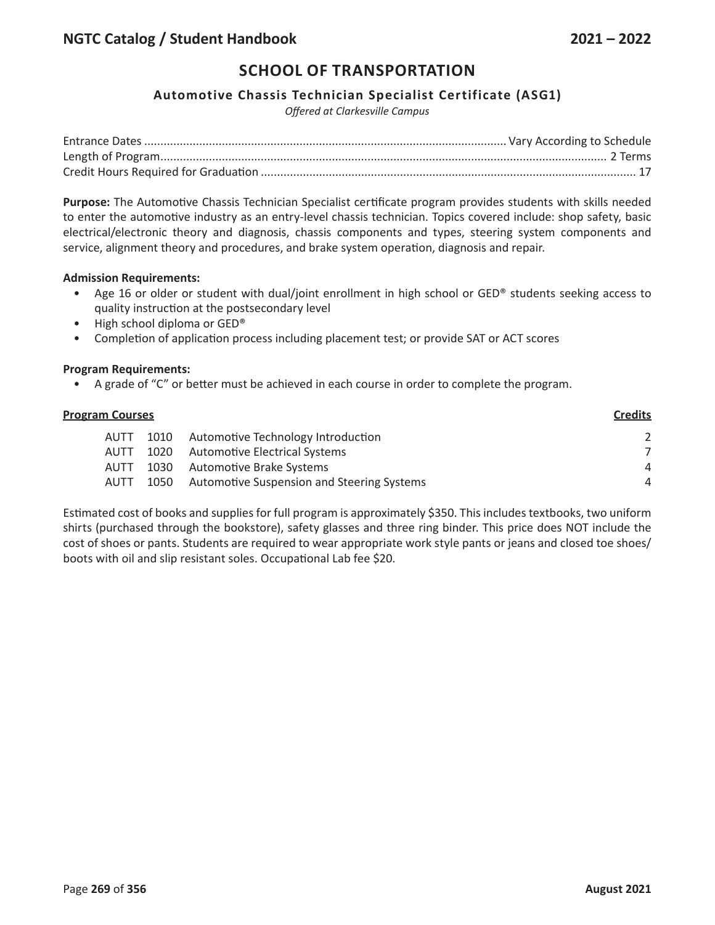#### **Automotive Chassis Technician Specialist Certificate (ASG1)**

*Offered at Clarkesville Campus*

**Purpose:** The Automotive Chassis Technician Specialist certificate program provides students with skills needed to enter the automotive industry as an entry-level chassis technician. Topics covered include: shop safety, basic electrical/electronic theory and diagnosis, chassis components and types, steering system components and service, alignment theory and procedures, and brake system operation, diagnosis and repair.

#### **Admission Requirements:**

- Age 16 or older or student with dual/joint enrollment in high school or GED® students seeking access to quality instruction at the postsecondary level
- High school diploma or GED®
- Completion of application process including placement test; or provide SAT or ACT scores

#### **Program Requirements:**

• A grade of "C" or better must be achieved in each course in order to complete the program.

| <b>Program Courses</b> |      |                                                   | <b>Credits</b> |
|------------------------|------|---------------------------------------------------|----------------|
| <b>AUTT</b>            | 1010 | Automotive Technology Introduction                | 2              |
| <b>AUTT</b>            | 1020 | Automotive Electrical Systems                     | $\mathcal{L}$  |
| AUTT                   | 1030 | Automotive Brake Systems                          | 4              |
| <b>AUTT</b>            | 1050 | <b>Automotive Suspension and Steering Systems</b> | $\overline{4}$ |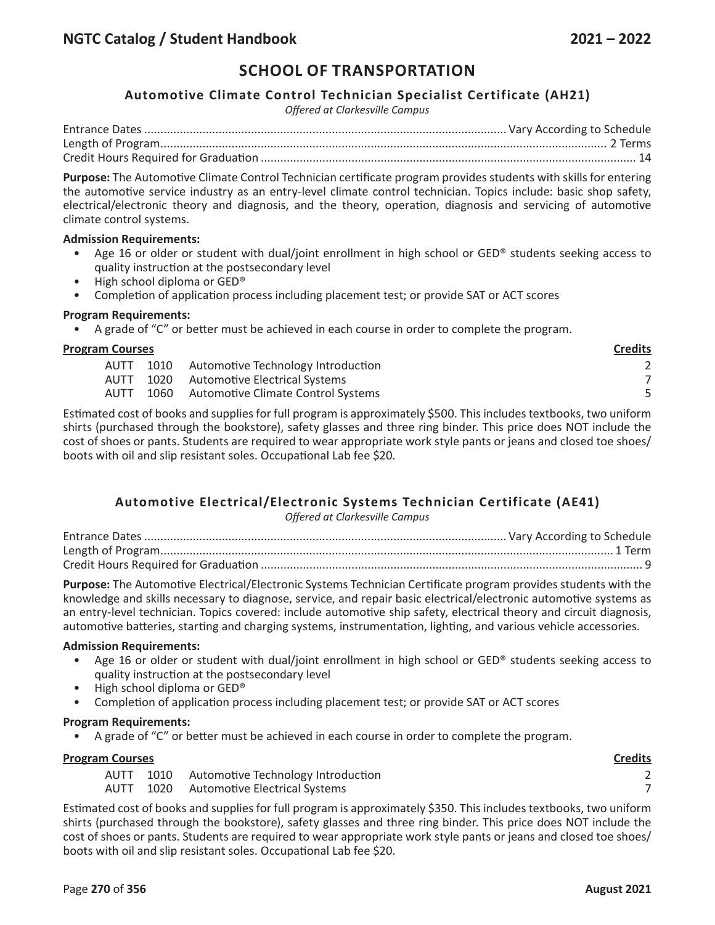### **Automotive Climate Control Technician Specialist Certificate (AH21)**

*Offered at Clarkesville Campus*

**Purpose:** The Automotive Climate Control Technician certificate program provides students with skills for entering the automotive service industry as an entry-level climate control technician. Topics include: basic shop safety, electrical/electronic theory and diagnosis, and the theory, operation, diagnosis and servicing of automotive climate control systems.

#### **Admission Requirements:**

- Age 16 or older or student with dual/joint enrollment in high school or GED® students seeking access to quality instruction at the postsecondary level
- High school diploma or GED®
- Completion of application process including placement test; or provide SAT or ACT scores

#### **Program Requirements:**

• A grade of "C" or better must be achieved in each course in order to complete the program.

#### **Program Courses Credits**

|  | AUTT 1010 Automotive Technology Introduction |  |
|--|----------------------------------------------|--|
|  | AUTT 1020 Automotive Electrical Systems      |  |
|  | AUTT 1060 Automotive Climate Control Systems |  |

Estimated cost of books and supplies for full program is approximately \$500. This includes textbooks, two uniform shirts (purchased through the bookstore), safety glasses and three ring binder. This price does NOT include the cost of shoes or pants. Students are required to wear appropriate work style pants or jeans and closed toe shoes/ boots with oil and slip resistant soles. Occupational Lab fee \$20.

# **Automotive Electrical/Electronic Systems Technician Certificate (AE41)**

*Offered at Clarkesville Campus*

Entrance Dates................................................................................................................ Vary According to Schedule Length of Program............................................................................................................................................ 1 Term Credit Hours Required for Graduation ...................................................................................................................... 9

**Purpose:** The Automotive Electrical/Electronic Systems Technician Certificate program provides students with the knowledge and skills necessary to diagnose, service, and repair basic electrical/electronic automotive systems as an entry-level technician. Topics covered: include automotive ship safety, electrical theory and circuit diagnosis, automotive batteries, starting and charging systems, instrumentation, lighting, and various vehicle accessories.

#### **Admission Requirements:**

- Age 16 or older or student with dual/joint enrollment in high school or GED® students seeking access to quality instruction at the postsecondary level
- High school diploma or GED®
- Completion of application process including placement test; or provide SAT or ACT scores

#### **Program Requirements:**

A grade of "C" or better must be achieved in each course in order to complete the program.

#### **Program Courses Credits**

- AUTT 1010 Automotive Technology Introduction 2
- AUTT 1020 Automotive Electrical Systems 7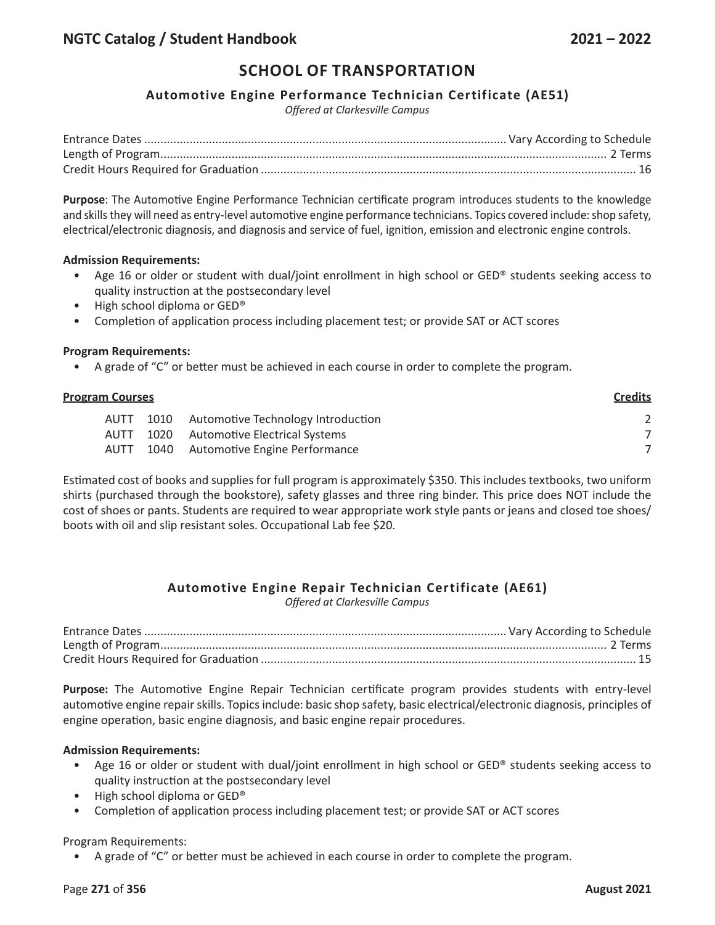#### **Automotive Engine Performance Technician Certificate (AE51)**

*Offered at Clarkesville Campus*

**Purpose**: The Automotive Engine Performance Technician certificate program introduces students to the knowledge and skills they will need as entry-level automotive engine performance technicians. Topics covered include: shop safety, electrical/electronic diagnosis, and diagnosis and service of fuel, ignition, emission and electronic engine controls.

#### **Admission Requirements:**

- Age 16 or older or student with dual/joint enrollment in high school or GED® students seeking access to quality instruction at the postsecondary level
- High school diploma or GED®
- Completion of application process including placement test; or provide SAT or ACT scores

#### **Program Requirements:**

• A grade of "C" or better must be achieved in each course in order to complete the program.

| <b>Program Courses</b> |      |                                    | <b>Credits</b> |
|------------------------|------|------------------------------------|----------------|
| <b>AUTT</b>            | 1010 | Automotive Technology Introduction |                |
| AUTT                   | 1020 | Automotive Electrical Systems      |                |
| <b>AUTT</b>            |      | 1040 Automotive Engine Performance |                |

Estimated cost of books and supplies for full program is approximately \$350. This includes textbooks, two uniform shirts (purchased through the bookstore), safety glasses and three ring binder. This price does NOT include the cost of shoes or pants. Students are required to wear appropriate work style pants or jeans and closed toe shoes/ boots with oil and slip resistant soles. Occupational Lab fee \$20.

# **Automotive Engine Repair Technician Certificate (AE61)**

*Offered at Clarkesville Campus*

**Purpose:** The Automotive Engine Repair Technician certificate program provides students with entry-level automotive engine repair skills. Topics include: basic shop safety, basic electrical/electronic diagnosis, principles of engine operation, basic engine diagnosis, and basic engine repair procedures.

#### **Admission Requirements:**

- Age 16 or older or student with dual/joint enrollment in high school or GED® students seeking access to quality instruction at the postsecondary level
- High school diploma or GED®
- Completion of application process including placement test; or provide SAT or ACT scores

Program Requirements:

• A grade of "C" or better must be achieved in each course in order to complete the program.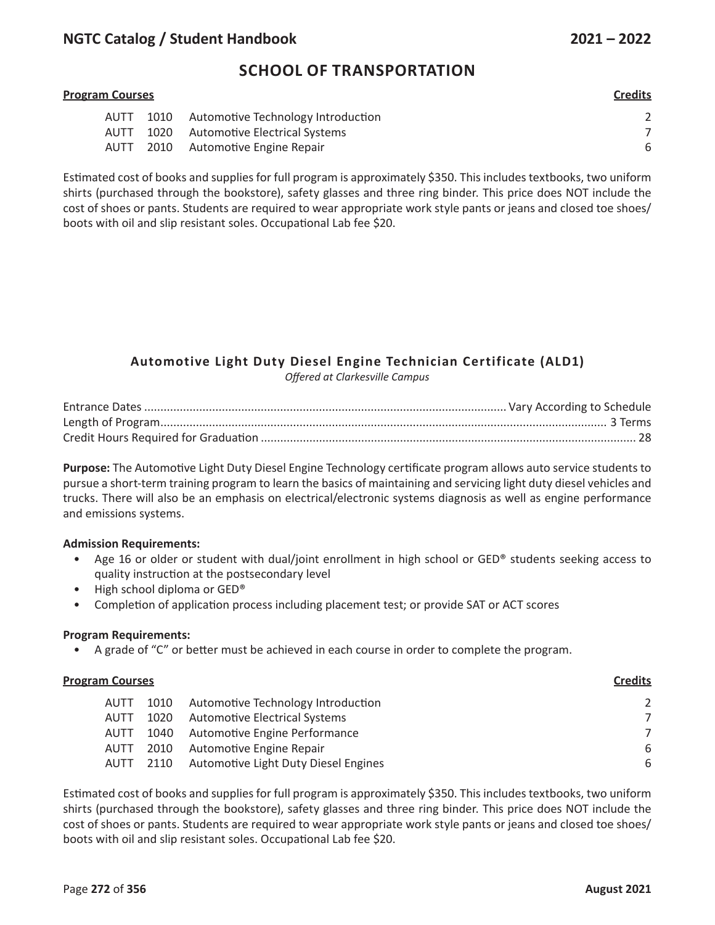# **NGTC Catalog / Student Handbook 2021 – 2022**

# **SCHOOL OF TRANSPORTATION**

# **Program Courses Credits** AUTT 1010 Automotive Technology Introduction 2 AUTT 1020 Automotive Electrical Systems 7 AUTT 2010 Automotive Engine Repair 6

Estimated cost of books and supplies for full program is approximately \$350. This includes textbooks, two uniform shirts (purchased through the bookstore), safety glasses and three ring binder. This price does NOT include the cost of shoes or pants. Students are required to wear appropriate work style pants or jeans and closed toe shoes/ boots with oil and slip resistant soles. Occupational Lab fee \$20.

# **Automotive Light Duty Diesel Engine Technician Certificate (ALD1)**

*Offered at Clarkesville Campus*

**Purpose:** The Automotive Light Duty Diesel Engine Technology certificate program allows auto service students to pursue a short-term training program to learn the basics of maintaining and servicing light duty diesel vehicles and trucks. There will also be an emphasis on electrical/electronic systems diagnosis as well as engine performance and emissions systems.

#### **Admission Requirements:**

- Age 16 or older or student with dual/joint enrollment in high school or GED® students seeking access to quality instruction at the postsecondary level
- High school diploma or GED®
- Completion of application process including placement test; or provide SAT or ACT scores

#### **Program Requirements:**

• A grade of "C" or better must be achieved in each course in order to complete the program.

#### **Program Courses Credits**

| AUTT        | 1010 | Automotive Technology Introduction             | $\mathcal{L}$ |
|-------------|------|------------------------------------------------|---------------|
| AUTT        |      | 1020 Automotive Electrical Systems             | 7             |
| <b>AUTT</b> |      | 1040 Automotive Engine Performance             | 7             |
| AUTT        |      | 2010 Automotive Engine Repair                  | 6             |
|             |      | AUTT 2110 Automotive Light Duty Diesel Engines | 6             |